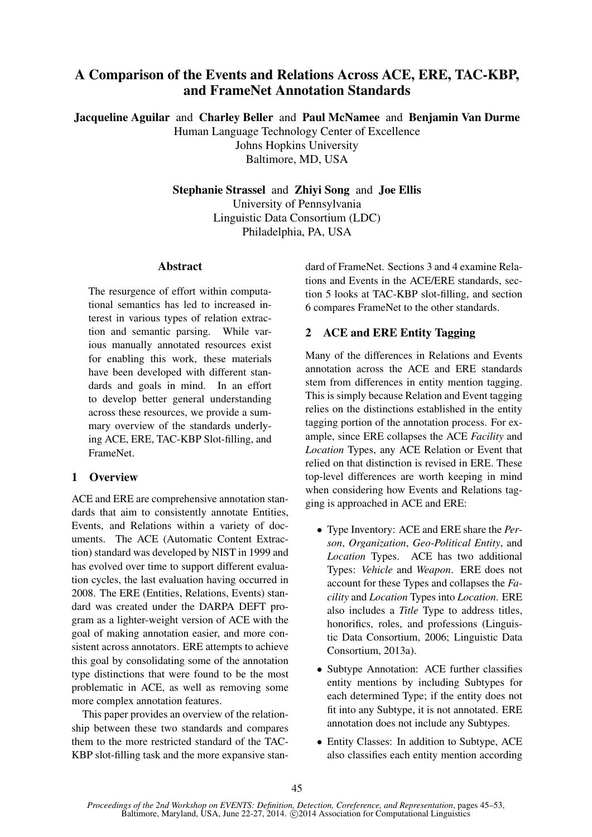# A Comparison of the Events and Relations Across ACE, ERE, TAC-KBP, and FrameNet Annotation Standards

Jacqueline Aguilar and Charley Beller and Paul McNamee and Benjamin Van Durme Human Language Technology Center of Excellence Johns Hopkins University Baltimore, MD, USA

> Stephanie Strassel and Zhiyi Song and Joe Ellis University of Pennsylvania Linguistic Data Consortium (LDC) Philadelphia, PA, USA

#### Abstract

The resurgence of effort within computational semantics has led to increased interest in various types of relation extraction and semantic parsing. While various manually annotated resources exist for enabling this work, these materials have been developed with different standards and goals in mind. In an effort to develop better general understanding across these resources, we provide a summary overview of the standards underlying ACE, ERE, TAC-KBP Slot-filling, and FrameNet.

# 1 Overview

ACE and ERE are comprehensive annotation standards that aim to consistently annotate Entities, Events, and Relations within a variety of documents. The ACE (Automatic Content Extraction) standard was developed by NIST in 1999 and has evolved over time to support different evaluation cycles, the last evaluation having occurred in 2008. The ERE (Entities, Relations, Events) standard was created under the DARPA DEFT program as a lighter-weight version of ACE with the goal of making annotation easier, and more consistent across annotators. ERE attempts to achieve this goal by consolidating some of the annotation type distinctions that were found to be the most problematic in ACE, as well as removing some more complex annotation features.

This paper provides an overview of the relationship between these two standards and compares them to the more restricted standard of the TAC-KBP slot-filling task and the more expansive standard of FrameNet. Sections 3 and 4 examine Relations and Events in the ACE/ERE standards, section 5 looks at TAC-KBP slot-filling, and section 6 compares FrameNet to the other standards.

# 2 ACE and ERE Entity Tagging

Many of the differences in Relations and Events annotation across the ACE and ERE standards stem from differences in entity mention tagging. This is simply because Relation and Event tagging relies on the distinctions established in the entity tagging portion of the annotation process. For example, since ERE collapses the ACE *Facility* and *Location* Types, any ACE Relation or Event that relied on that distinction is revised in ERE. These top-level differences are worth keeping in mind when considering how Events and Relations tagging is approached in ACE and ERE:

- Type Inventory: ACE and ERE share the *Person*, *Organization*, *Geo-Political Entity*, and *Location* Types. ACE has two additional Types: *Vehicle* and *Weapon*. ERE does not account for these Types and collapses the *Facility* and *Location* Types into *Location*. ERE also includes a *Title* Type to address titles, honorifics, roles, and professions (Linguistic Data Consortium, 2006; Linguistic Data Consortium, 2013a).
- Subtype Annotation: ACE further classifies entity mentions by including Subtypes for each determined Type; if the entity does not fit into any Subtype, it is not annotated. ERE annotation does not include any Subtypes.
- Entity Classes: In addition to Subtype, ACE also classifies each entity mention according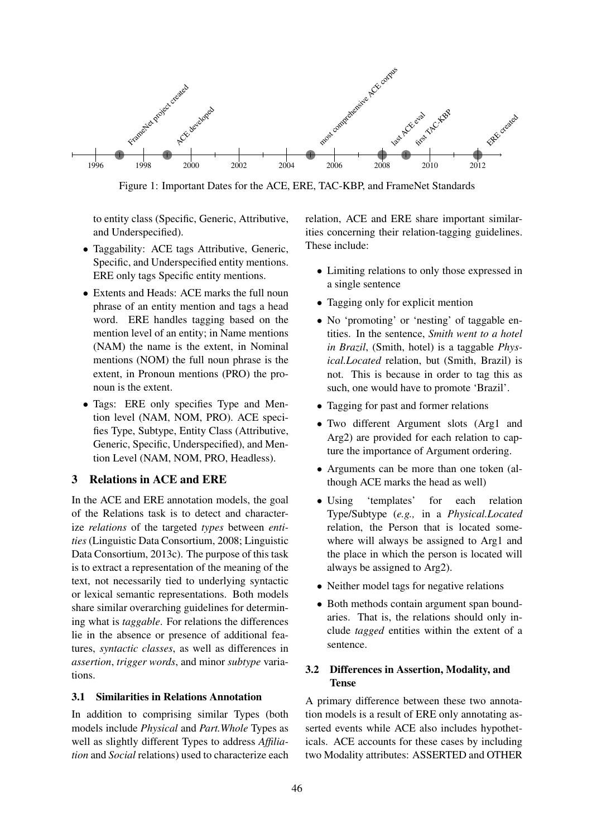

Figure 1: Important Dates for the ACE, ERE, TAC-KBP, and FrameNet Standards

to entity class (Specific, Generic, Attributive, and Underspecified).

- Taggability: ACE tags Attributive, Generic, Specific, and Underspecified entity mentions. ERE only tags Specific entity mentions.
- Extents and Heads: ACE marks the full noun phrase of an entity mention and tags a head word. ERE handles tagging based on the mention level of an entity; in Name mentions (NAM) the name is the extent, in Nominal mentions (NOM) the full noun phrase is the extent, in Pronoun mentions (PRO) the pronoun is the extent.
- Tags: ERE only specifies Type and Mention level (NAM, NOM, PRO). ACE specifies Type, Subtype, Entity Class (Attributive, Generic, Specific, Underspecified), and Mention Level (NAM, NOM, PRO, Headless).

### 3 Relations in ACE and ERE

In the ACE and ERE annotation models, the goal of the Relations task is to detect and characterize *relations* of the targeted *types* between *entities* (Linguistic Data Consortium, 2008; Linguistic Data Consortium, 2013c). The purpose of this task is to extract a representation of the meaning of the text, not necessarily tied to underlying syntactic or lexical semantic representations. Both models share similar overarching guidelines for determining what is *taggable*. For relations the differences lie in the absence or presence of additional features, *syntactic classes*, as well as differences in *assertion*, *trigger words*, and minor *subtype* variations.

#### 3.1 Similarities in Relations Annotation

In addition to comprising similar Types (both models include *Physical* and *Part.Whole* Types as well as slightly different Types to address *Affiliation* and *Social* relations) used to characterize each relation, ACE and ERE share important similarities concerning their relation-tagging guidelines. These include:

- Limiting relations to only those expressed in a single sentence
- Tagging only for explicit mention
- No 'promoting' or 'nesting' of taggable entities. In the sentence, *Smith went to a hotel in Brazil*, (Smith, hotel) is a taggable *Physical.Located* relation, but (Smith, Brazil) is not. This is because in order to tag this as such, one would have to promote 'Brazil'.
- Tagging for past and former relations
- Two different Argument slots (Arg1 and Arg2) are provided for each relation to capture the importance of Argument ordering.
- Arguments can be more than one token (although ACE marks the head as well)
- Using 'templates' for each relation Type/Subtype (*e.g.,* in a *Physical.Located* relation, the Person that is located somewhere will always be assigned to Arg1 and the place in which the person is located will always be assigned to Arg2).
- Neither model tags for negative relations
- Both methods contain argument span boundaries. That is, the relations should only include *tagged* entities within the extent of a sentence.

## 3.2 Differences in Assertion, Modality, and Tense

A primary difference between these two annotation models is a result of ERE only annotating asserted events while ACE also includes hypotheticals. ACE accounts for these cases by including two Modality attributes: ASSERTED and OTHER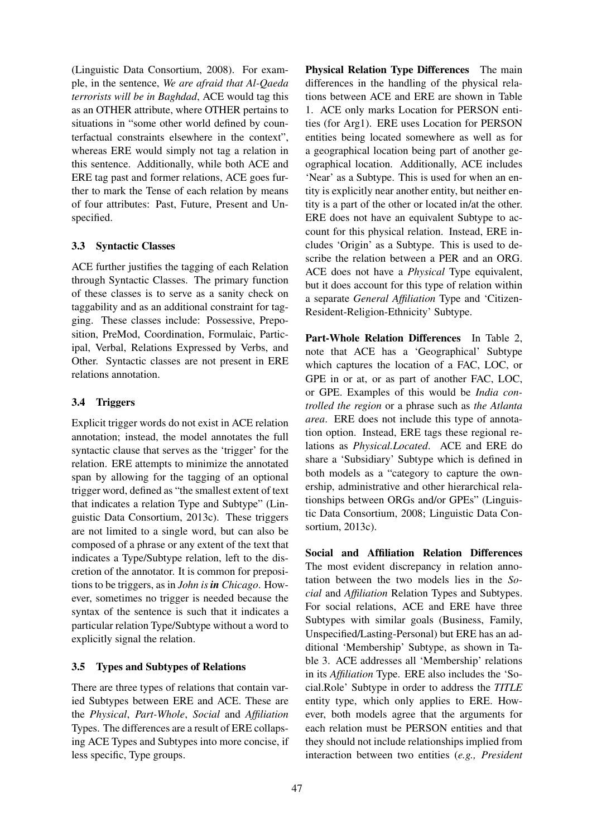(Linguistic Data Consortium, 2008). For example, in the sentence, *We are afraid that Al-Qaeda terrorists will be in Baghdad*, ACE would tag this as an OTHER attribute, where OTHER pertains to situations in "some other world defined by counterfactual constraints elsewhere in the context", whereas ERE would simply not tag a relation in this sentence. Additionally, while both ACE and ERE tag past and former relations, ACE goes further to mark the Tense of each relation by means of four attributes: Past, Future, Present and Unspecified.

# 3.3 Syntactic Classes

ACE further justifies the tagging of each Relation through Syntactic Classes. The primary function of these classes is to serve as a sanity check on taggability and as an additional constraint for tagging. These classes include: Possessive, Preposition, PreMod, Coordination, Formulaic, Participal, Verbal, Relations Expressed by Verbs, and Other. Syntactic classes are not present in ERE relations annotation.

# 3.4 Triggers

Explicit trigger words do not exist in ACE relation annotation; instead, the model annotates the full syntactic clause that serves as the 'trigger' for the relation. ERE attempts to minimize the annotated span by allowing for the tagging of an optional trigger word, defined as "the smallest extent of text that indicates a relation Type and Subtype" (Linguistic Data Consortium, 2013c). These triggers are not limited to a single word, but can also be composed of a phrase or any extent of the text that indicates a Type/Subtype relation, left to the discretion of the annotator. It is common for prepositions to be triggers, as in *John is in Chicago*. However, sometimes no trigger is needed because the syntax of the sentence is such that it indicates a particular relation Type/Subtype without a word to explicitly signal the relation.

### 3.5 Types and Subtypes of Relations

There are three types of relations that contain varied Subtypes between ERE and ACE. These are the *Physical*, *Part-Whole*, *Social* and *Affiliation* Types. The differences are a result of ERE collapsing ACE Types and Subtypes into more concise, if less specific, Type groups.

Physical Relation Type Differences The main differences in the handling of the physical relations between ACE and ERE are shown in Table 1. ACE only marks Location for PERSON entities (for Arg1). ERE uses Location for PERSON entities being located somewhere as well as for a geographical location being part of another geographical location. Additionally, ACE includes 'Near' as a Subtype. This is used for when an entity is explicitly near another entity, but neither entity is a part of the other or located in/at the other. ERE does not have an equivalent Subtype to account for this physical relation. Instead, ERE includes 'Origin' as a Subtype. This is used to describe the relation between a PER and an ORG. ACE does not have a *Physical* Type equivalent, but it does account for this type of relation within a separate *General Affiliation* Type and 'Citizen-Resident-Religion-Ethnicity' Subtype.

Part-Whole Relation Differences In Table 2, note that ACE has a 'Geographical' Subtype which captures the location of a FAC, LOC, or GPE in or at, or as part of another FAC, LOC, or GPE. Examples of this would be *India controlled the region* or a phrase such as *the Atlanta area*. ERE does not include this type of annotation option. Instead, ERE tags these regional relations as *Physical.Located*. ACE and ERE do share a 'Subsidiary' Subtype which is defined in both models as a "category to capture the ownership, administrative and other hierarchical relationships between ORGs and/or GPEs" (Linguistic Data Consortium, 2008; Linguistic Data Consortium, 2013c).

Social and Affiliation Relation Differences The most evident discrepancy in relation annotation between the two models lies in the *Social* and *Affiliation* Relation Types and Subtypes. For social relations, ACE and ERE have three Subtypes with similar goals (Business, Family, Unspecified/Lasting-Personal) but ERE has an additional 'Membership' Subtype, as shown in Table 3. ACE addresses all 'Membership' relations in its *Affiliation* Type. ERE also includes the 'Social.Role' Subtype in order to address the *TITLE* entity type, which only applies to ERE. However, both models agree that the arguments for each relation must be PERSON entities and that they should not include relationships implied from interaction between two entities (*e.g., President*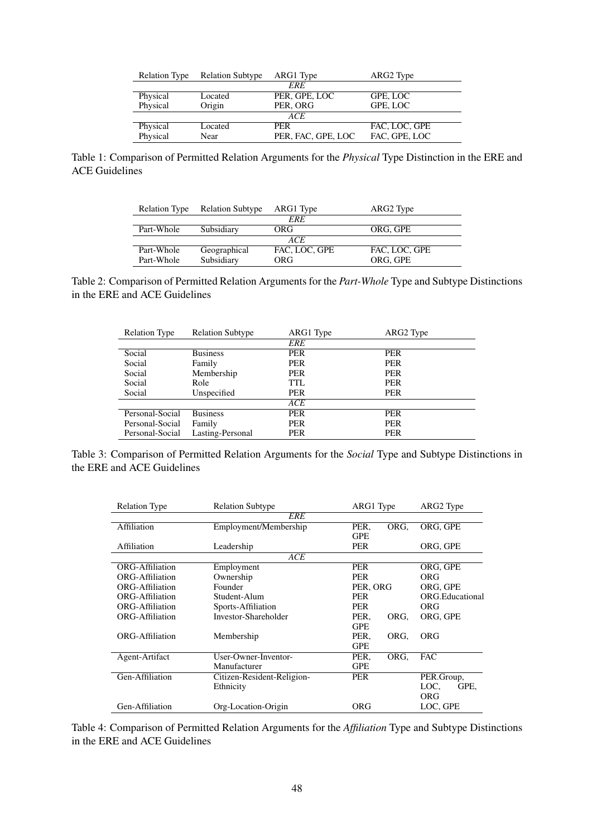|          | Relation Type Relation Subtype | ARG1 Type          | ARG2 Type     |  |
|----------|--------------------------------|--------------------|---------------|--|
|          |                                | <i><b>ERE</b></i>  |               |  |
| Physical | Located                        | PER, GPE, LOC      | GPE, LOC      |  |
| Physical | Origin                         | PER, ORG           | GPE, LOC      |  |
|          |                                | ACE                |               |  |
| Physical | Located                        | <b>PER</b>         | FAC, LOC, GPE |  |
| Physical | Near                           | PER, FAC, GPE, LOC | FAC, GPE, LOC |  |
|          |                                |                    |               |  |

Table 1: Comparison of Permitted Relation Arguments for the *Physical* Type Distinction in the ERE and ACE Guidelines

| <b>Relation Type</b> | <b>Relation Subtype</b> | ARG1 Type     | ARG2 Type     |  |  |
|----------------------|-------------------------|---------------|---------------|--|--|
| <b>ERE</b>           |                         |               |               |  |  |
| Part-Whole           | Subsidiary              | ORG           | ORG. GPE      |  |  |
| ACE.                 |                         |               |               |  |  |
| Part-Whole           | Geographical            | FAC, LOC, GPE | FAC, LOC, GPE |  |  |
| Part-Whole           | Subsidiary              | ORG           | ORG, GPE      |  |  |

Table 2: Comparison of Permitted Relation Arguments for the *Part-Whole* Type and Subtype Distinctions in the ERE and ACE Guidelines

| <b>Relation Type</b> | <b>Relation Subtype</b> | ARG1 Type  | ARG2 Type  |  |
|----------------------|-------------------------|------------|------------|--|
|                      |                         | ERE        |            |  |
| Social               | <b>Business</b>         | <b>PER</b> | <b>PER</b> |  |
| Social               | Family                  | <b>PER</b> | <b>PER</b> |  |
| Social               | Membership              | <b>PER</b> | <b>PER</b> |  |
| Social               | Role                    | TTL.       | <b>PER</b> |  |
| Social               | Unspecified             | <b>PER</b> | <b>PER</b> |  |
|                      |                         | ACE        |            |  |
| Personal-Social      | <b>Business</b>         | PER        | <b>PER</b> |  |
| Personal-Social      | Family                  | <b>PER</b> | <b>PER</b> |  |
| Personal-Social      | Lasting-Personal        | PER        | <b>PER</b> |  |

Table 3: Comparison of Permitted Relation Arguments for the *Social* Type and Subtype Distinctions in the ERE and ACE Guidelines

| <b>Relation Type</b> | <b>Relation Subtype</b>    | ARG1 Type       | ARG2 Type              |  |  |  |  |
|----------------------|----------------------------|-----------------|------------------------|--|--|--|--|
| <b>ERE</b>           |                            |                 |                        |  |  |  |  |
| <b>Affiliation</b>   | Employment/Membership      | PER,<br>ORG.    | ORG, GPE               |  |  |  |  |
|                      |                            | <b>GPE</b>      |                        |  |  |  |  |
| Affiliation          | Leadership                 | <b>PER</b>      | ORG, GPE               |  |  |  |  |
|                      | ACE                        |                 |                        |  |  |  |  |
| ORG-Affiliation      | Employment                 | <b>PER</b>      | ORG, GPE               |  |  |  |  |
| ORG-Affiliation      | Ownership                  | <b>PER</b>      | ORG                    |  |  |  |  |
| ORG-Affiliation      | Founder                    | PER, ORG        | ORG, GPE               |  |  |  |  |
| ORG-Affiliation      | Student-Alum               | <b>PER</b>      | <b>ORG.Educational</b> |  |  |  |  |
| ORG-Affiliation      | Sports-Affiliation         | <b>PER</b>      | ORG                    |  |  |  |  |
| ORG-Affiliation      | Investor-Shareholder       | PER,<br>ORG.    |                        |  |  |  |  |
|                      |                            | <b>GPE</b>      |                        |  |  |  |  |
| ORG-Affiliation      | Membership                 | PER,<br>ORG.    | <b>ORG</b>             |  |  |  |  |
|                      |                            | <b>GPE</b>      |                        |  |  |  |  |
| Agent-Artifact       | User-Owner-Inventor-       | PER.<br>ORG.    | <b>FAC</b>             |  |  |  |  |
|                      | Manufacturer               | <b>GPE</b>      |                        |  |  |  |  |
| Gen-Affiliation      | Citizen-Resident-Religion- | <b>PER</b>      | PER.Group,             |  |  |  |  |
|                      | Ethnicity                  |                 | LOC.<br>GPE,           |  |  |  |  |
|                      |                            | ORG             |                        |  |  |  |  |
| Gen-Affiliation      | Org-Location-Origin        | ORG<br>LOC, GPE |                        |  |  |  |  |

Table 4: Comparison of Permitted Relation Arguments for the *Affiliation* Type and Subtype Distinctions in the ERE and ACE Guidelines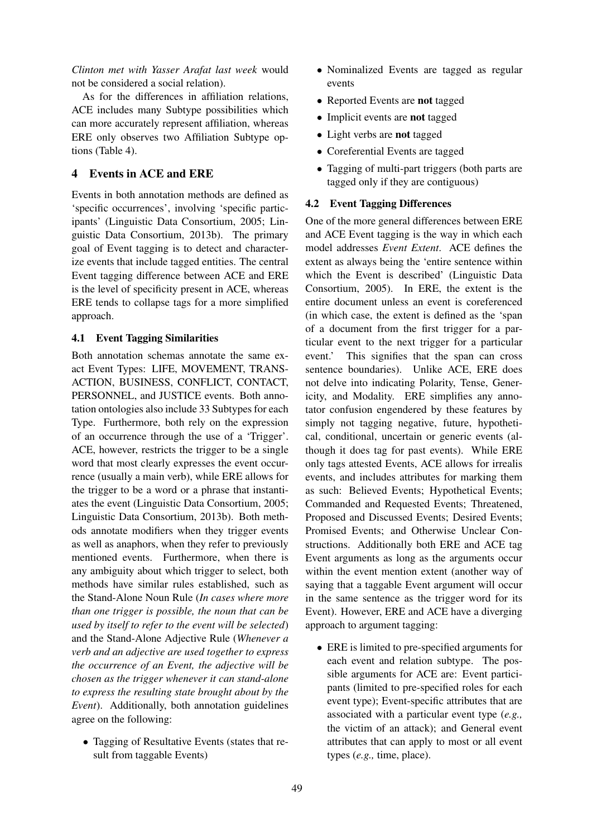*Clinton met with Yasser Arafat last week* would not be considered a social relation).

As for the differences in affiliation relations, ACE includes many Subtype possibilities which can more accurately represent affiliation, whereas ERE only observes two Affiliation Subtype options (Table 4).

# 4 Events in ACE and ERE

Events in both annotation methods are defined as 'specific occurrences', involving 'specific participants' (Linguistic Data Consortium, 2005; Linguistic Data Consortium, 2013b). The primary goal of Event tagging is to detect and characterize events that include tagged entities. The central Event tagging difference between ACE and ERE is the level of specificity present in ACE, whereas ERE tends to collapse tags for a more simplified approach.

#### 4.1 Event Tagging Similarities

Both annotation schemas annotate the same exact Event Types: LIFE, MOVEMENT, TRANS-ACTION, BUSINESS, CONFLICT, CONTACT, PERSONNEL, and JUSTICE events. Both annotation ontologies also include 33 Subtypes for each Type. Furthermore, both rely on the expression of an occurrence through the use of a 'Trigger'. ACE, however, restricts the trigger to be a single word that most clearly expresses the event occurrence (usually a main verb), while ERE allows for the trigger to be a word or a phrase that instantiates the event (Linguistic Data Consortium, 2005; Linguistic Data Consortium, 2013b). Both methods annotate modifiers when they trigger events as well as anaphors, when they refer to previously mentioned events. Furthermore, when there is any ambiguity about which trigger to select, both methods have similar rules established, such as the Stand-Alone Noun Rule (*In cases where more than one trigger is possible, the noun that can be used by itself to refer to the event will be selected*) and the Stand-Alone Adjective Rule (*Whenever a verb and an adjective are used together to express the occurrence of an Event, the adjective will be chosen as the trigger whenever it can stand-alone to express the resulting state brought about by the Event*). Additionally, both annotation guidelines agree on the following:

• Tagging of Resultative Events (states that result from taggable Events)

- Nominalized Events are tagged as regular events
- Reported Events are not tagged
- Implicit events are not tagged
- Light verbs are not tagged
- Coreferential Events are tagged
- Tagging of multi-part triggers (both parts are tagged only if they are contiguous)

#### 4.2 Event Tagging Differences

One of the more general differences between ERE and ACE Event tagging is the way in which each model addresses *Event Extent*. ACE defines the extent as always being the 'entire sentence within which the Event is described' (Linguistic Data Consortium, 2005). In ERE, the extent is the entire document unless an event is coreferenced (in which case, the extent is defined as the 'span of a document from the first trigger for a particular event to the next trigger for a particular event.' This signifies that the span can cross sentence boundaries). Unlike ACE, ERE does not delve into indicating Polarity, Tense, Genericity, and Modality. ERE simplifies any annotator confusion engendered by these features by simply not tagging negative, future, hypothetical, conditional, uncertain or generic events (although it does tag for past events). While ERE only tags attested Events, ACE allows for irrealis events, and includes attributes for marking them as such: Believed Events; Hypothetical Events; Commanded and Requested Events; Threatened, Proposed and Discussed Events; Desired Events; Promised Events; and Otherwise Unclear Constructions. Additionally both ERE and ACE tag Event arguments as long as the arguments occur within the event mention extent (another way of saying that a taggable Event argument will occur in the same sentence as the trigger word for its Event). However, ERE and ACE have a diverging approach to argument tagging:

• ERE is limited to pre-specified arguments for each event and relation subtype. The possible arguments for ACE are: Event participants (limited to pre-specified roles for each event type); Event-specific attributes that are associated with a particular event type (*e.g.,* the victim of an attack); and General event attributes that can apply to most or all event types (*e.g.,* time, place).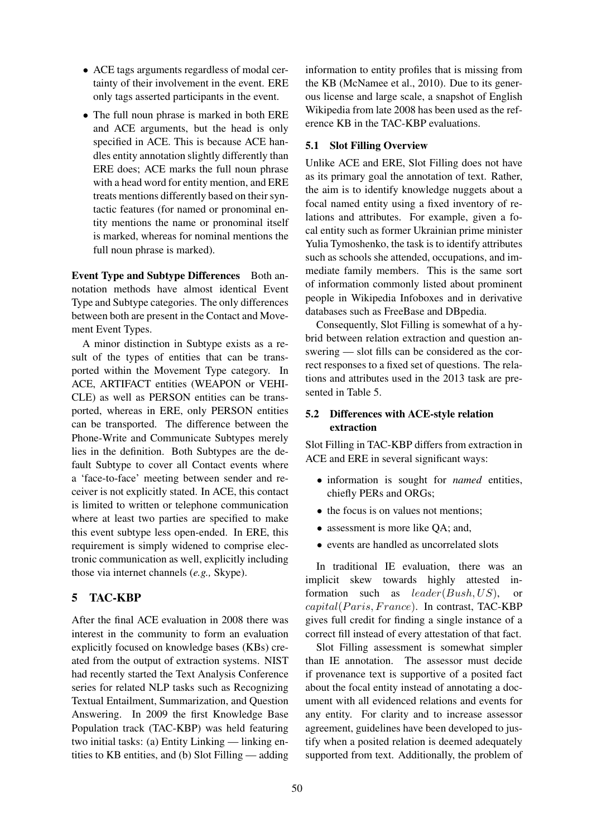- ACE tags arguments regardless of modal certainty of their involvement in the event. ERE only tags asserted participants in the event.
- The full noun phrase is marked in both ERE and ACE arguments, but the head is only specified in ACE. This is because ACE handles entity annotation slightly differently than ERE does; ACE marks the full noun phrase with a head word for entity mention, and ERE treats mentions differently based on their syntactic features (for named or pronominal entity mentions the name or pronominal itself is marked, whereas for nominal mentions the full noun phrase is marked).

Event Type and Subtype Differences Both annotation methods have almost identical Event Type and Subtype categories. The only differences between both are present in the Contact and Movement Event Types.

A minor distinction in Subtype exists as a result of the types of entities that can be transported within the Movement Type category. In ACE, ARTIFACT entities (WEAPON or VEHI-CLE) as well as PERSON entities can be transported, whereas in ERE, only PERSON entities can be transported. The difference between the Phone-Write and Communicate Subtypes merely lies in the definition. Both Subtypes are the default Subtype to cover all Contact events where a 'face-to-face' meeting between sender and receiver is not explicitly stated. In ACE, this contact is limited to written or telephone communication where at least two parties are specified to make this event subtype less open-ended. In ERE, this requirement is simply widened to comprise electronic communication as well, explicitly including those via internet channels (*e.g.,* Skype).

### 5 TAC-KBP

After the final ACE evaluation in 2008 there was interest in the community to form an evaluation explicitly focused on knowledge bases (KBs) created from the output of extraction systems. NIST had recently started the Text Analysis Conference series for related NLP tasks such as Recognizing Textual Entailment, Summarization, and Question Answering. In 2009 the first Knowledge Base Population track (TAC-KBP) was held featuring two initial tasks: (a) Entity Linking — linking entities to KB entities, and (b) Slot Filling — adding

information to entity profiles that is missing from the KB (McNamee et al., 2010). Due to its generous license and large scale, a snapshot of English Wikipedia from late 2008 has been used as the reference KB in the TAC-KBP evaluations.

## 5.1 Slot Filling Overview

Unlike ACE and ERE, Slot Filling does not have as its primary goal the annotation of text. Rather, the aim is to identify knowledge nuggets about a focal named entity using a fixed inventory of relations and attributes. For example, given a focal entity such as former Ukrainian prime minister Yulia Tymoshenko, the task is to identify attributes such as schools she attended, occupations, and immediate family members. This is the same sort of information commonly listed about prominent people in Wikipedia Infoboxes and in derivative databases such as FreeBase and DBpedia.

Consequently, Slot Filling is somewhat of a hybrid between relation extraction and question answering — slot fills can be considered as the correct responses to a fixed set of questions. The relations and attributes used in the 2013 task are presented in Table 5.

# 5.2 Differences with ACE-style relation extraction

Slot Filling in TAC-KBP differs from extraction in ACE and ERE in several significant ways:

- information is sought for *named* entities, chiefly PERs and ORGs;
- the focus is on values not mentions;
- assessment is more like OA; and,
- events are handled as uncorrelated slots

In traditional IE evaluation, there was an implicit skew towards highly attested information such as  $leader(Bush, US)$ ,  $capital(Paris, France)$ . In contrast, TAC-KBP gives full credit for finding a single instance of a correct fill instead of every attestation of that fact.

Slot Filling assessment is somewhat simpler than IE annotation. The assessor must decide if provenance text is supportive of a posited fact about the focal entity instead of annotating a document with all evidenced relations and events for any entity. For clarity and to increase assessor agreement, guidelines have been developed to justify when a posited relation is deemed adequately supported from text. Additionally, the problem of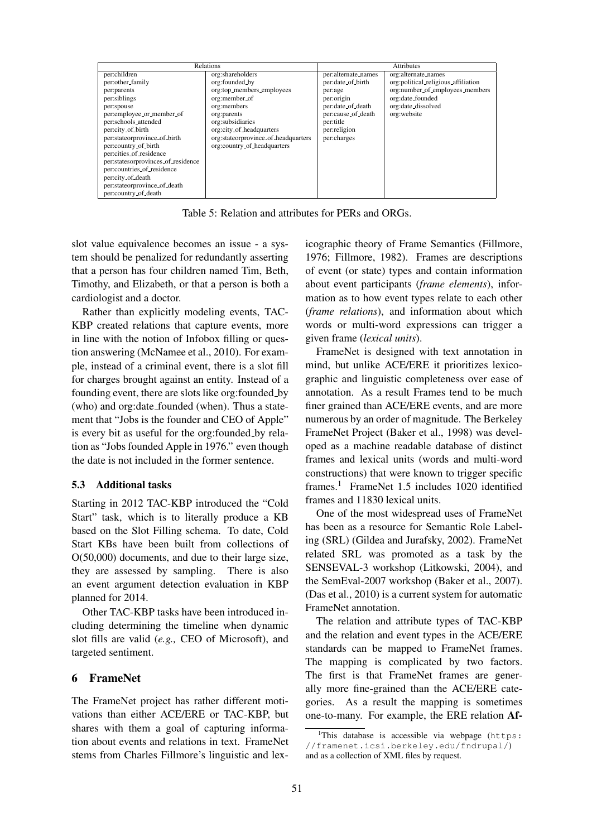|                                    | <b>Relations</b>                    | <b>Attributes</b>   |                                     |  |
|------------------------------------|-------------------------------------|---------------------|-------------------------------------|--|
| per:children                       | org:shareholders                    | per:alternate_names | org:alternate_names                 |  |
| per:other_family                   | org:founded_by                      | per:date_of_birth   | org:political_religious_affiliation |  |
| per:parents                        | org:top_members_employees           | per:age             | org:number_of_employees_members     |  |
| per:siblings                       | org:member_of                       | per:origin          | org:date_founded                    |  |
| per:spouse                         | org:members                         | per:date_of_death   | org:date_dissolved                  |  |
| per:employee_or_member_of          | org:parents                         | per:cause_of_death  | org:website                         |  |
| per:schools_attended               | org:subsidiaries                    | per:title           |                                     |  |
| per:city_of_birth                  | org:city_of_headquarters            | per:religion        |                                     |  |
| per:stateorprovince_of_birth       | org:stateorprovince_of_headquarters | per:charges         |                                     |  |
| per:country_of_birth               | org:country_of_headquarters         |                     |                                     |  |
| per:cities_of_residence            |                                     |                     |                                     |  |
| per:statesorprovinces_of_residence |                                     |                     |                                     |  |
| per:countries_of_residence         |                                     |                     |                                     |  |
| per:city_of_death                  |                                     |                     |                                     |  |
| per:stateorprovince_of_death       |                                     |                     |                                     |  |
| per:country_of_death               |                                     |                     |                                     |  |

Table 5: Relation and attributes for PERs and ORGs.

slot value equivalence becomes an issue - a system should be penalized for redundantly asserting that a person has four children named Tim, Beth, Timothy, and Elizabeth, or that a person is both a cardiologist and a doctor.

Rather than explicitly modeling events, TAC-KBP created relations that capture events, more in line with the notion of Infobox filling or question answering (McNamee et al., 2010). For example, instead of a criminal event, there is a slot fill for charges brought against an entity. Instead of a founding event, there are slots like org:founded by (who) and org:date founded (when). Thus a statement that "Jobs is the founder and CEO of Apple" is every bit as useful for the org: founded by relation as "Jobs founded Apple in 1976." even though the date is not included in the former sentence.

#### 5.3 Additional tasks

Starting in 2012 TAC-KBP introduced the "Cold Start" task, which is to literally produce a KB based on the Slot Filling schema. To date, Cold Start KBs have been built from collections of O(50,000) documents, and due to their large size, they are assessed by sampling. There is also an event argument detection evaluation in KBP planned for 2014.

Other TAC-KBP tasks have been introduced including determining the timeline when dynamic slot fills are valid (*e.g.,* CEO of Microsoft), and targeted sentiment.

#### 6 FrameNet

The FrameNet project has rather different motivations than either ACE/ERE or TAC-KBP, but shares with them a goal of capturing information about events and relations in text. FrameNet stems from Charles Fillmore's linguistic and lexicographic theory of Frame Semantics (Fillmore, 1976; Fillmore, 1982). Frames are descriptions of event (or state) types and contain information about event participants (*frame elements*), information as to how event types relate to each other (*frame relations*), and information about which words or multi-word expressions can trigger a given frame (*lexical units*).

FrameNet is designed with text annotation in mind, but unlike ACE/ERE it prioritizes lexicographic and linguistic completeness over ease of annotation. As a result Frames tend to be much finer grained than ACE/ERE events, and are more numerous by an order of magnitude. The Berkeley FrameNet Project (Baker et al., 1998) was developed as a machine readable database of distinct frames and lexical units (words and multi-word constructions) that were known to trigger specific frames.<sup>1</sup> FrameNet 1.5 includes 1020 identified frames and 11830 lexical units.

One of the most widespread uses of FrameNet has been as a resource for Semantic Role Labeling (SRL) (Gildea and Jurafsky, 2002). FrameNet related SRL was promoted as a task by the SENSEVAL-3 workshop (Litkowski, 2004), and the SemEval-2007 workshop (Baker et al., 2007). (Das et al., 2010) is a current system for automatic FrameNet annotation.

The relation and attribute types of TAC-KBP and the relation and event types in the ACE/ERE standards can be mapped to FrameNet frames. The mapping is complicated by two factors. The first is that FrameNet frames are generally more fine-grained than the ACE/ERE categories. As a result the mapping is sometimes one-to-many. For example, the ERE relation Af-

 $1$ This database is accessible via webpage (https: //framenet.icsi.berkeley.edu/fndrupal/) and as a collection of XML files by request.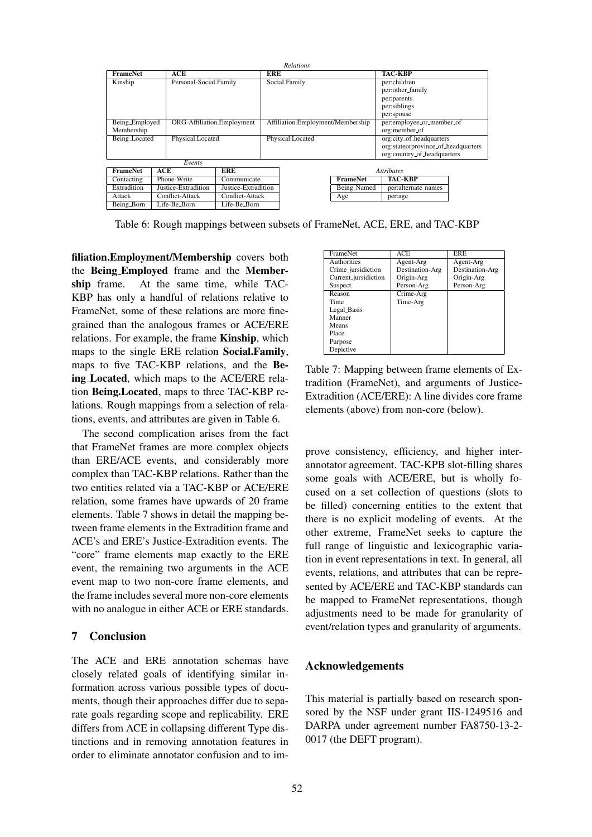| <b>Relations</b> |     |                            |                                     |                  |                                   |                          |                           |  |
|------------------|-----|----------------------------|-------------------------------------|------------------|-----------------------------------|--------------------------|---------------------------|--|
| <b>FrameNet</b>  | ACE |                            |                                     | <b>ERE</b>       |                                   | <b>TAC-KBP</b>           |                           |  |
| Kinship          |     | Personal-Social.Family     |                                     |                  | Social.Family                     |                          | per:children              |  |
|                  |     |                            |                                     |                  |                                   |                          | per:other_family          |  |
|                  |     |                            |                                     |                  |                                   |                          | per:parents               |  |
|                  |     |                            |                                     |                  |                                   |                          | per:siblings              |  |
|                  |     |                            |                                     |                  |                                   |                          | per:spouse                |  |
| Being_Employed   |     | ORG-Affiliation.Employment |                                     |                  | Affiliation.Employment/Membership |                          | per:employee_or_member_of |  |
| Membership       |     |                            |                                     |                  |                                   | org:member_of            |                           |  |
| Being Located    |     | Physical.Located           |                                     | Physical.Located |                                   | org:city_of_headquarters |                           |  |
|                  |     |                            | org:stateorprovince_of_headquarters |                  |                                   |                          |                           |  |
|                  |     |                            | org:country_of_headquarters         |                  |                                   |                          |                           |  |
| Events           |     |                            |                                     |                  |                                   |                          |                           |  |
| <b>FrameNet</b>  | ACE |                            | ERE                                 |                  | <b>Attributes</b>                 |                          |                           |  |
| Contacting       |     | Phone-Write                | Communicate                         |                  |                                   | <b>FrameNet</b>          | <b>TAC-KBP</b>            |  |
| Extradition      |     | Justice-Extradition        | Justice-Extradition                 |                  |                                   | Being_Named              | per:alternate_names       |  |
| Attack           |     | Conflict-Attack            | Conflict-Attack                     |                  |                                   | Age                      | per:age                   |  |
| Being_Born       |     | Life-Be <sub>-</sub> Born  | Life-Be <sub>-Born</sub>            |                  |                                   |                          |                           |  |

Table 6: Rough mappings between subsets of FrameNet, ACE, ERE, and TAC-KBP

filiation.Employment/Membership covers both the Being Employed frame and the Membership frame. At the same time, while TAC-KBP has only a handful of relations relative to FrameNet, some of these relations are more finegrained than the analogous frames or ACE/ERE relations. For example, the frame Kinship, which maps to the single ERE relation Social.Family, maps to five TAC-KBP relations, and the Being Located, which maps to the ACE/ERE relation Being.Located, maps to three TAC-KBP relations. Rough mappings from a selection of relations, events, and attributes are given in Table 6.

The second complication arises from the fact that FrameNet frames are more complex objects than ERE/ACE events, and considerably more complex than TAC-KBP relations. Rather than the two entities related via a TAC-KBP or ACE/ERE relation, some frames have upwards of 20 frame elements. Table 7 shows in detail the mapping between frame elements in the Extradition frame and ACE's and ERE's Justice-Extradition events. The "core" frame elements map exactly to the ERE event, the remaining two arguments in the ACE event map to two non-core frame elements, and the frame includes several more non-core elements with no analogue in either ACE or ERE standards.

#### 7 Conclusion

The ACE and ERE annotation schemas have closely related goals of identifying similar information across various possible types of documents, though their approaches differ due to separate goals regarding scope and replicability. ERE differs from ACE in collapsing different Type distinctions and in removing annotation features in order to eliminate annotator confusion and to im-

| FrameNet             | ACE             | <b>ERE</b>      |
|----------------------|-----------------|-----------------|
| Authorities          | Agent-Arg       | Agent-Arg       |
| Crime_jursidiction   | Destination-Arg | Destination-Arg |
| Current_jursidiction | Origin-Arg      | Origin-Arg      |
| Suspect              | Person-Arg      | Person-Arg      |
| Reason               | Crime-Arg       |                 |
| Time                 | Time-Arg        |                 |
| Legal_Basis          |                 |                 |
| Manner               |                 |                 |
| Means                |                 |                 |
| Place                |                 |                 |
| Purpose              |                 |                 |
| Depictive            |                 |                 |

Table 7: Mapping between frame elements of Extradition (FrameNet), and arguments of Justice-Extradition (ACE/ERE): A line divides core frame elements (above) from non-core (below).

prove consistency, efficiency, and higher interannotator agreement. TAC-KPB slot-filling shares some goals with ACE/ERE, but is wholly focused on a set collection of questions (slots to be filled) concerning entities to the extent that there is no explicit modeling of events. At the other extreme, FrameNet seeks to capture the full range of linguistic and lexicographic variation in event representations in text. In general, all events, relations, and attributes that can be represented by ACE/ERE and TAC-KBP standards can be mapped to FrameNet representations, though adjustments need to be made for granularity of event/relation types and granularity of arguments.

#### Acknowledgements

This material is partially based on research sponsored by the NSF under grant IIS-1249516 and DARPA under agreement number FA8750-13-2- 0017 (the DEFT program).